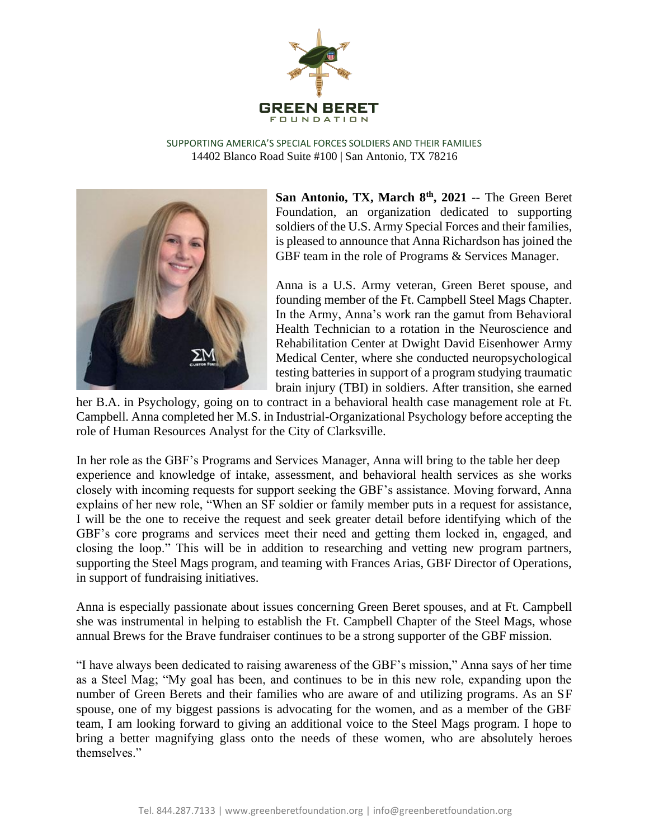

SUPPORTING AMERICA'S SPECIAL FORCES SOLDIERS AND THEIR FAMILIES 14402 Blanco Road Suite #100 | San Antonio, TX 78216



**San Antonio, TX, March 8th, 2021** -- The Green Beret Foundation, an organization dedicated to supporting soldiers of the U.S. Army Special Forces and their families, is pleased to announce that Anna Richardson has joined the GBF team in the role of Programs & Services Manager.

Anna is a U.S. Army veteran, Green Beret spouse, and founding member of the Ft. Campbell Steel Mags Chapter. In the Army, Anna's work ran the gamut from Behavioral Health Technician to a rotation in the Neuroscience and Rehabilitation Center at Dwight David Eisenhower Army Medical Center, where she conducted neuropsychological testing batteries in support of a program studying traumatic brain injury (TBI) in soldiers. After transition, she earned

her B.A. in Psychology, going on to contract in a behavioral health case management role at Ft. Campbell. Anna completed her M.S. in Industrial-Organizational Psychology before accepting the role of Human Resources Analyst for the City of Clarksville.

In her role as the GBF's Programs and Services Manager, Anna will bring to the table her deep experience and knowledge of intake, assessment, and behavioral health services as she works closely with incoming requests for support seeking the GBF's assistance. Moving forward, Anna explains of her new role, "When an SF soldier or family member puts in a request for assistance, I will be the one to receive the request and seek greater detail before identifying which of the GBF's core programs and services meet their need and getting them locked in, engaged, and closing the loop." This will be in addition to researching and vetting new program partners, supporting the Steel Mags program, and teaming with Frances Arias, GBF Director of Operations, in support of fundraising initiatives.

Anna is especially passionate about issues concerning Green Beret spouses, and at Ft. Campbell she was instrumental in helping to establish the Ft. Campbell Chapter of the Steel Mags, whose annual Brews for the Brave fundraiser continues to be a strong supporter of the GBF mission.

"I have always been dedicated to raising awareness of the GBF's mission," Anna says of her time as a Steel Mag; "My goal has been, and continues to be in this new role, expanding upon the number of Green Berets and their families who are aware of and utilizing programs. As an SF spouse, one of my biggest passions is advocating for the women, and as a member of the GBF team, I am looking forward to giving an additional voice to the Steel Mags program. I hope to bring a better magnifying glass onto the needs of these women, who are absolutely heroes themselves."